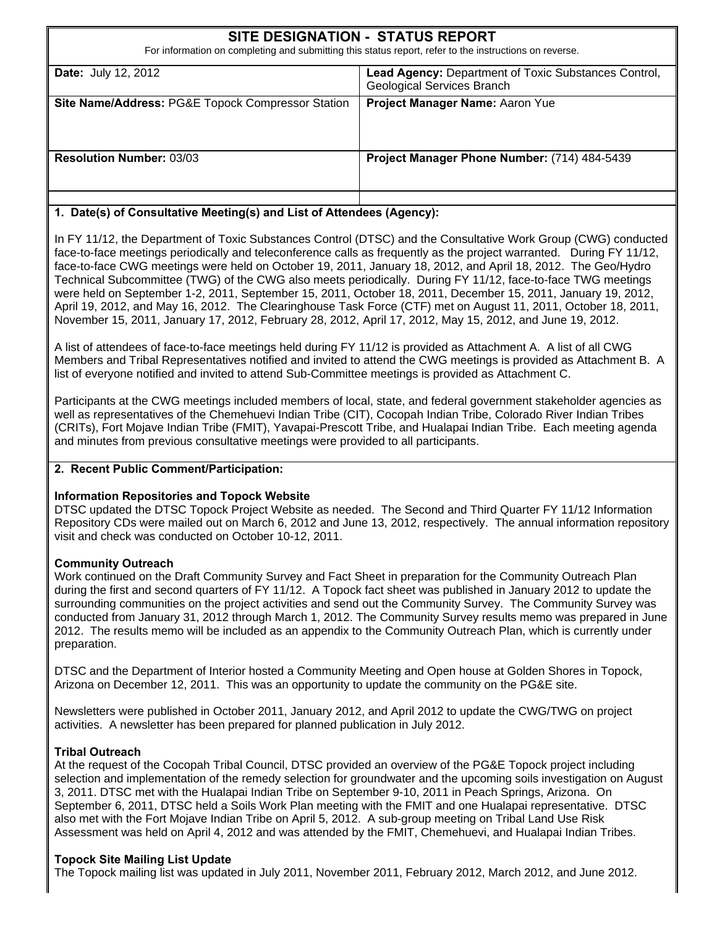| SITE DESIGNATION - STATUS REPORT<br>For information on completing and submitting this status report, refer to the instructions on reverse. |                                                                                           |  |  |  |  |
|--------------------------------------------------------------------------------------------------------------------------------------------|-------------------------------------------------------------------------------------------|--|--|--|--|
| <b>Date: July 12, 2012</b>                                                                                                                 | Lead Agency: Department of Toxic Substances Control,<br><b>Geological Services Branch</b> |  |  |  |  |
| <b>Site Name/Address: PG&amp;E Topock Compressor Station</b>                                                                               | Project Manager Name: Aaron Yue                                                           |  |  |  |  |
| <b>Resolution Number: 03/03</b>                                                                                                            | Project Manager Phone Number: (714) 484-5439                                              |  |  |  |  |

#### **1. Date(s) of Consultative Meeting(s) and List of Attendees (Agency):**

In FY 11/12, the Department of Toxic Substances Control (DTSC) and the Consultative Work Group (CWG) conducted face-to-face meetings periodically and teleconference calls as frequently as the project warranted. During FY 11/12, face-to-face CWG meetings were held on October 19, 2011, January 18, 2012, and April 18, 2012. The Geo/Hydro Technical Subcommittee (TWG) of the CWG also meets periodically. During FY 11/12, face-to-face TWG meetings were held on September 1-2, 2011, September 15, 2011, October 18, 2011, December 15, 2011, January 19, 2012, April 19, 2012, and May 16, 2012. The Clearinghouse Task Force (CTF) met on August 11, 2011, October 18, 2011, November 15, 2011, January 17, 2012, February 28, 2012, April 17, 2012, May 15, 2012, and June 19, 2012.

A list of attendees of face-to-face meetings held during FY 11/12 is provided as Attachment A. A list of all CWG Members and Tribal Representatives notified and invited to attend the CWG meetings is provided as Attachment B. A list of everyone notified and invited to attend Sub-Committee meetings is provided as Attachment C.

Participants at the CWG meetings included members of local, state, and federal government stakeholder agencies as well as representatives of the Chemehuevi Indian Tribe (CIT), Cocopah Indian Tribe, Colorado River Indian Tribes (CRITs), Fort Mojave Indian Tribe (FMIT), Yavapai-Prescott Tribe, and Hualapai Indian Tribe. Each meeting agenda and minutes from previous consultative meetings were provided to all participants.

#### **2. Recent Public Comment/Participation:**

#### **Information Repositories and Topock Website**

DTSC updated the DTSC Topock Project Website as needed. The Second and Third Quarter FY 11/12 Information Repository CDs were mailed out on March 6, 2012 and June 13, 2012, respectively. The annual information repository visit and check was conducted on October 10-12, 2011.

#### **Community Outreach**

Work continued on the Draft Community Survey and Fact Sheet in preparation for the Community Outreach Plan during the first and second quarters of FY 11/12. A Topock fact sheet was published in January 2012 to update the surrounding communities on the project activities and send out the Community Survey. The Community Survey was conducted from January 31, 2012 through March 1, 2012. The Community Survey results memo was prepared in June 2012. The results memo will be included as an appendix to the Community Outreach Plan, which is currently under preparation.

DTSC and the Department of Interior hosted a Community Meeting and Open house at Golden Shores in Topock, Arizona on December 12, 2011. This was an opportunity to update the community on the PG&E site.

Newsletters were published in October 2011, January 2012, and April 2012 to update the CWG/TWG on project activities. A newsletter has been prepared for planned publication in July 2012.

#### **Tribal Outreach**

At the request of the Cocopah Tribal Council, DTSC provided an overview of the PG&E Topock project including selection and implementation of the remedy selection for groundwater and the upcoming soils investigation on August 3, 2011. DTSC met with the Hualapai Indian Tribe on September 9-10, 2011 in Peach Springs, Arizona. On September 6, 2011, DTSC held a Soils Work Plan meeting with the FMIT and one Hualapai representative. DTSC also met with the Fort Mojave Indian Tribe on April 5, 2012. A sub-group meeting on Tribal Land Use Risk Assessment was held on April 4, 2012 and was attended by the FMIT, Chemehuevi, and Hualapai Indian Tribes.

#### **Topock Site Mailing List Update**

The Topock mailing list was updated in July 2011, November 2011, February 2012, March 2012, and June 2012.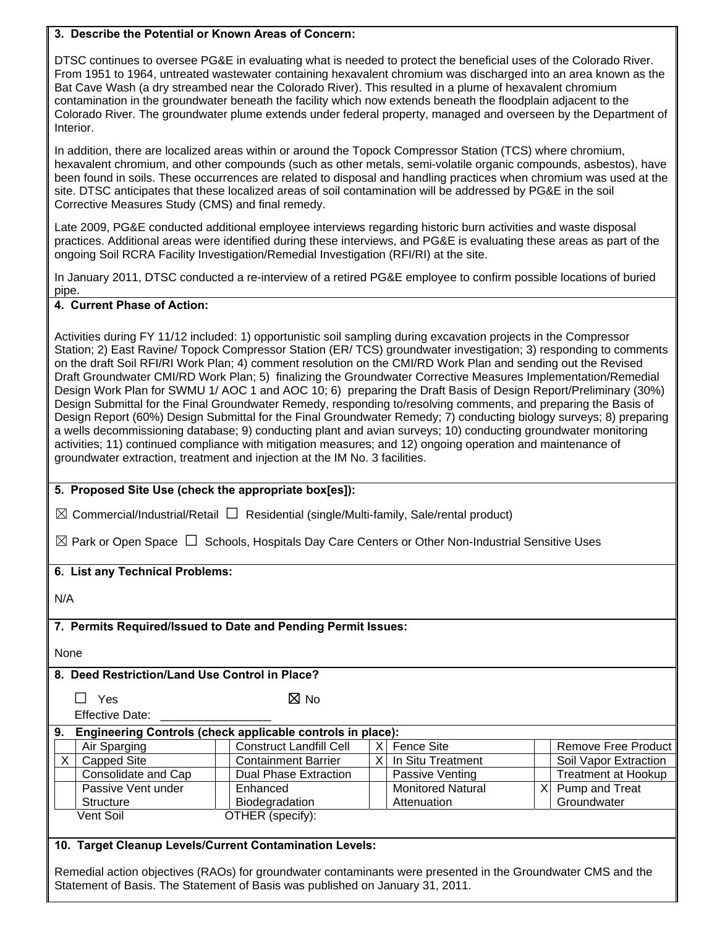#### **3. Describe the Potential or Known Areas of Concern:**

DTSC continues to oversee PG&E in evaluating what is needed to protect the beneficial uses of the Colorado River. From 1951 to 1964, untreated wastewater containing hexavalent chromium was discharged into an area known as the Bat Cave Wash (a dry streambed near the Colorado River). This resulted in a plume of hexavalent chromium contamination in the groundwater beneath the facility which now extends beneath the floodplain adjacent to the Colorado River. The groundwater plume extends under federal property, managed and overseen by the Department of Interior.

In addition, there are localized areas within or around the Topock Compressor Station (TCS) where chromium, hexavalent chromium, and other compounds (such as other metals, semi-volatile organic compounds, asbestos), have been found in soils. These occurrences are related to disposal and handling practices when chromium was used at the site. DTSC anticipates that these localized areas of soil contamination will be addressed by PG&E in the soil Corrective Measures Study (CMS) and final remedy.

Late 2009, PG&E conducted additional employee interviews regarding historic burn activities and waste disposal practices. Additional areas were identified during these interviews, and PG&E is evaluating these areas as part of the ongoing Soil RCRA Facility Investigation/Remedial Investigation (RFI/RI) at the site.

In January 2011, DTSC conducted a re-interview of a retired PG&E employee to confirm possible locations of buried pipe.

#### **4. Current Phase of Action:**

Activities during FY 11/12 included: 1) opportunistic soil sampling during excavation projects in the Compressor Station; 2) East Ravine/ Topock Compressor Station (ER/ TCS) groundwater investigation; 3) responding to comments on the draft Soil RFI/RI Work Plan; 4) comment resolution on the CMI/RD Work Plan and sending out the Revised Draft Groundwater CMI/RD Work Plan; 5) finalizing the Groundwater Corrective Measures Implementation/Remedial Design Work Plan for SWMU 1/ AOC 1 and AOC 10; 6) preparing the Draft Basis of Design Report/Preliminary (30%) Design Submittal for the Final Groundwater Remedy, responding to/resolving comments, and preparing the Basis of Design Report (60%) Design Submittal for the Final Groundwater Remedy; 7) conducting biology surveys; 8) preparing a wells decommissioning database; 9) conducting plant and avian surveys; 10) conducting groundwater monitoring activities; 11) continued compliance with mitigation measures; and 12) ongoing operation and maintenance of groundwater extraction, treatment and injection at the IM No. 3 facilities.

#### **5. Proposed Site Use (check the appropriate box[es]):**

☒ Commercial/Industrial/Retail **□** Residential (single/Multi-family, Sale/rental product)

☒ Park or Open Space **□** Schools, Hospitals Day Care Centers or Other Non-Industrial Sensitive Uses

#### **6. List any Technical Problems:**

N/A

#### **7. Permits Required/Issued to Date and Pending Permit Issues:**

None

#### **8. Deed Restriction/Land Use Control in Place?**

 **□** Yes ☒ No

Effective Date:

| 9. |                     | Engineering Controls (check applicable controls in place): |          |                          |                            |
|----|---------------------|------------------------------------------------------------|----------|--------------------------|----------------------------|
|    | Air Sparging        | <b>Construct Landfill Cell</b>                             | $\times$ | Fence Site               | Remove Free Product        |
|    | <b>Capped Site</b>  | <b>Containment Barrier</b>                                 |          | In Situ Treatment        | Soil Vapor Extraction      |
|    | Consolidate and Cap | Dual Phase Extraction                                      |          | Passive Venting          | <b>Treatment at Hookup</b> |
|    | Passive Vent under  | Enhanced                                                   |          | <b>Monitored Natural</b> | Pump and Treat             |
|    | Structure           | Biodegradation                                             |          | Attenuation              | Groundwater                |
|    | Vent Soil           | OTHER (specify):                                           |          |                          |                            |

#### **10. Target Cleanup Levels/Current Contamination Levels:**

Remedial action objectives (RAOs) for groundwater contaminants were presented in the Groundwater CMS and the Statement of Basis. The Statement of Basis was published on January 31, 2011.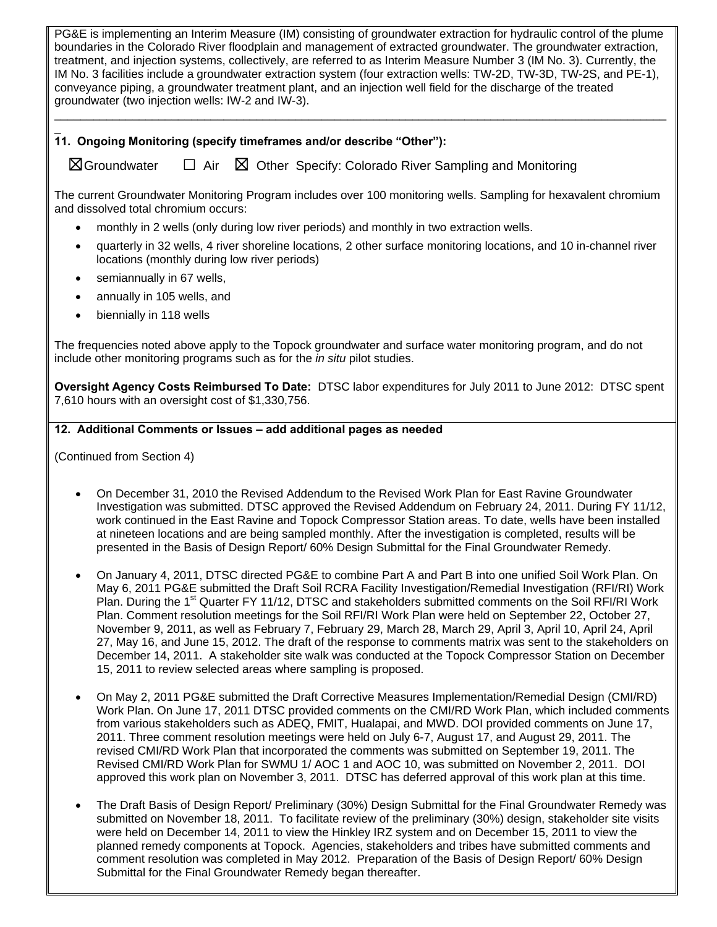PG&E is implementing an Interim Measure (IM) consisting of groundwater extraction for hydraulic control of the plume boundaries in the Colorado River floodplain and management of extracted groundwater. The groundwater extraction, treatment, and injection systems, collectively, are referred to as Interim Measure Number 3 (IM No. 3). Currently, the IM No. 3 facilities include a groundwater extraction system (four extraction wells: TW-2D, TW-3D, TW-2S, and PE-1), conveyance piping, a groundwater treatment plant, and an injection well field for the discharge of the treated groundwater (two injection wells: IW-2 and IW-3).

 $\Box$ 

#### $\overline{a}$ **11. Ongoing Monitoring (specify timeframes and/or describe "Other"):**

☒Groundwater **□** Air ☒ Other Specify: Colorado River Sampling and Monitoring

The current Groundwater Monitoring Program includes over 100 monitoring wells. Sampling for hexavalent chromium and dissolved total chromium occurs:

- monthly in 2 wells (only during low river periods) and monthly in two extraction wells.
- quarterly in 32 wells, 4 river shoreline locations, 2 other surface monitoring locations, and 10 in-channel river locations (monthly during low river periods)
- semiannually in 67 wells,
- annually in 105 wells, and
- biennially in 118 wells

The frequencies noted above apply to the Topock groundwater and surface water monitoring program, and do not include other monitoring programs such as for the *in situ* pilot studies.

**Oversight Agency Costs Reimbursed To Date:** DTSC labor expenditures for July 2011 to June 2012: DTSC spent 7,610 hours with an oversight cost of \$1,330,756.

#### **12. Additional Comments or Issues – add additional pages as needed**

(Continued from Section 4)

- On December 31, 2010 the Revised Addendum to the Revised Work Plan for East Ravine Groundwater Investigation was submitted. DTSC approved the Revised Addendum on February 24, 2011. During FY 11/12, work continued in the East Ravine and Topock Compressor Station areas. To date, wells have been installed at nineteen locations and are being sampled monthly. After the investigation is completed, results will be presented in the Basis of Design Report/ 60% Design Submittal for the Final Groundwater Remedy.
- On January 4, 2011, DTSC directed PG&E to combine Part A and Part B into one unified Soil Work Plan. On May 6, 2011 PG&E submitted the Draft Soil RCRA Facility Investigation/Remedial Investigation (RFI/RI) Work Plan. During the 1<sup>st</sup> Quarter FY 11/12, DTSC and stakeholders submitted comments on the Soil RFI/RI Work Plan. Comment resolution meetings for the Soil RFI/RI Work Plan were held on September 22, October 27, November 9, 2011, as well as February 7, February 29, March 28, March 29, April 3, April 10, April 24, April 27, May 16, and June 15, 2012. The draft of the response to comments matrix was sent to the stakeholders on December 14, 2011. A stakeholder site walk was conducted at the Topock Compressor Station on December 15, 2011 to review selected areas where sampling is proposed.
- On May 2, 2011 PG&E submitted the Draft Corrective Measures Implementation/Remedial Design (CMI/RD) Work Plan. On June 17, 2011 DTSC provided comments on the CMI/RD Work Plan, which included comments from various stakeholders such as ADEQ, FMIT, Hualapai, and MWD. DOI provided comments on June 17, 2011. Three comment resolution meetings were held on July 6-7, August 17, and August 29, 2011. The revised CMI/RD Work Plan that incorporated the comments was submitted on September 19, 2011. The Revised CMI/RD Work Plan for SWMU 1/ AOC 1 and AOC 10, was submitted on November 2, 2011. DOI approved this work plan on November 3, 2011. DTSC has deferred approval of this work plan at this time.
- The Draft Basis of Design Report/ Preliminary (30%) Design Submittal for the Final Groundwater Remedy was submitted on November 18, 2011. To facilitate review of the preliminary (30%) design, stakeholder site visits were held on December 14, 2011 to view the Hinkley IRZ system and on December 15, 2011 to view the planned remedy components at Topock. Agencies, stakeholders and tribes have submitted comments and comment resolution was completed in May 2012. Preparation of the Basis of Design Report/ 60% Design Submittal for the Final Groundwater Remedy began thereafter.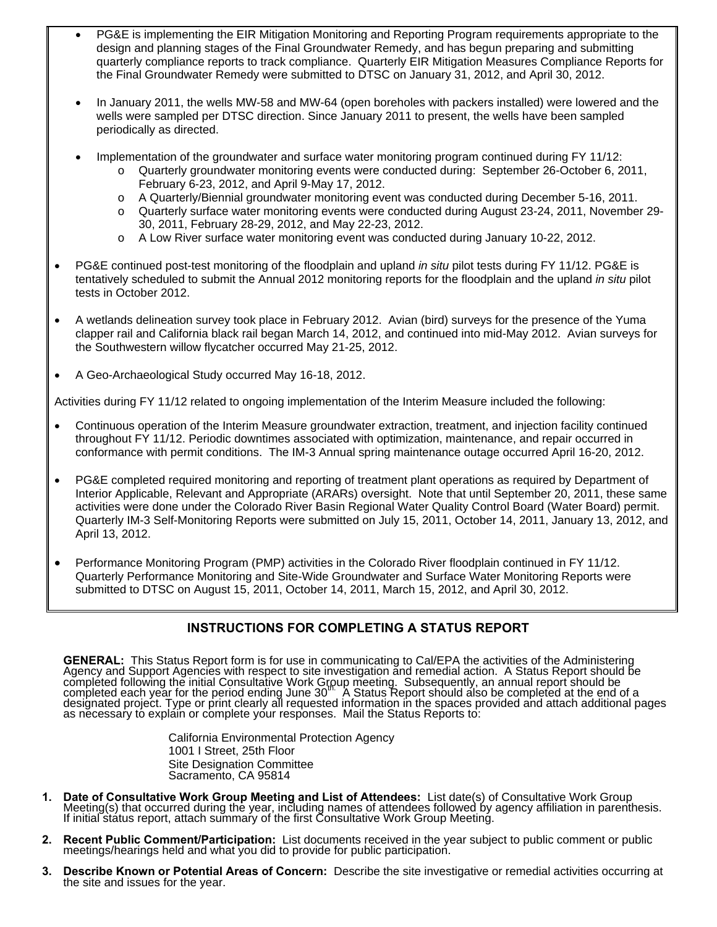- PG&E is implementing the EIR Mitigation Monitoring and Reporting Program requirements appropriate to the design and planning stages of the Final Groundwater Remedy, and has begun preparing and submitting quarterly compliance reports to track compliance. Quarterly EIR Mitigation Measures Compliance Reports for the Final Groundwater Remedy were submitted to DTSC on January 31, 2012, and April 30, 2012.
- In January 2011, the wells MW-58 and MW-64 (open boreholes with packers installed) were lowered and the wells were sampled per DTSC direction. Since January 2011 to present, the wells have been sampled periodically as directed.
- Implementation of the groundwater and surface water monitoring program continued during FY 11/12:
	- Quarterly groundwater monitoring events were conducted during: September 26-October 6, 2011, February 6-23, 2012, and April 9-May 17, 2012.
	- o A Quarterly/Biennial groundwater monitoring event was conducted during December 5-16, 2011.
	- o Quarterly surface water monitoring events were conducted during August 23-24, 2011, November 29- 30, 2011, February 28-29, 2012, and May 22-23, 2012.
	- o A Low River surface water monitoring event was conducted during January 10-22, 2012.
- PG&E continued post-test monitoring of the floodplain and upland *in situ* pilot tests during FY 11/12. PG&E is tentatively scheduled to submit the Annual 2012 monitoring reports for the floodplain and the upland *in situ* pilot tests in October 2012.
- A wetlands delineation survey took place in February 2012. Avian (bird) surveys for the presence of the Yuma clapper rail and California black rail began March 14, 2012, and continued into mid-May 2012. Avian surveys for the Southwestern willow flycatcher occurred May 21-25, 2012.
- A Geo-Archaeological Study occurred May 16-18, 2012.

Activities during FY 11/12 related to ongoing implementation of the Interim Measure included the following:

- Continuous operation of the Interim Measure groundwater extraction, treatment, and injection facility continued throughout FY 11/12. Periodic downtimes associated with optimization, maintenance, and repair occurred in conformance with permit conditions. The IM-3 Annual spring maintenance outage occurred April 16-20, 2012.
- PG&E completed required monitoring and reporting of treatment plant operations as required by Department of Interior Applicable, Relevant and Appropriate (ARARs) oversight. Note that until September 20, 2011, these same activities were done under the Colorado River Basin Regional Water Quality Control Board (Water Board) permit. Quarterly IM-3 Self-Monitoring Reports were submitted on July 15, 2011, October 14, 2011, January 13, 2012, and April 13, 2012.
- Performance Monitoring Program (PMP) activities in the Colorado River floodplain continued in FY 11/12. Quarterly Performance Monitoring and Site-Wide Groundwater and Surface Water Monitoring Reports were submitted to DTSC on August 15, 2011, October 14, 2011, March 15, 2012, and April 30, 2012.

#### **INSTRUCTIONS FOR COMPLETING A STATUS REPORT**

**GENERAL:** This Status Report form is for use in communicating to Cal/EPA the activities of the Administering Agency and Support Agencies with respect to site investigation and remedial action. A Status Report should be co

California Environmental Protection Agency 1001 I Street, 25th Floor Site Designation Committee Sacramento, CA 95814

- 1. Date of Consultative Work Group Meeting and List of Attendees: List date(s) of Consultative Work Group<br>Meeting(s) that occurred during the year, including names of attendees followed by agency affiliation in parenthesis
- **2. Recent Public Comment/Participation:** List documents received in the year subject to public comment or public meetings/hearings held and what you did to provide for public participation.
- **3. Describe Known or Potential Areas of Concern:** Describe the site investigative or remedial activities occurring at the site and issues for the year.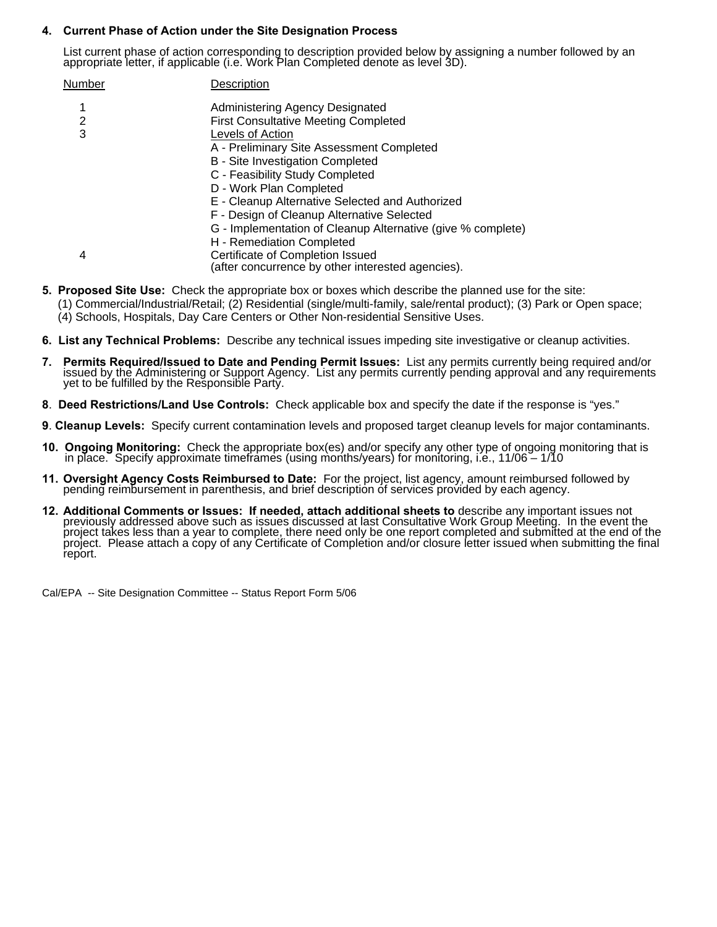#### **4. Current Phase of Action under the Site Designation Process**

List current phase of action corresponding to description provided below by assigning a number followed by an appropriate letter, if applicable (i.e. Work Plan Completed denote as level 3D).

| Number | Description                                                                           |
|--------|---------------------------------------------------------------------------------------|
|        | Administering Agency Designated                                                       |
| 2      | <b>First Consultative Meeting Completed</b>                                           |
| 3      | Levels of Action                                                                      |
|        | A - Preliminary Site Assessment Completed                                             |
|        | B - Site Investigation Completed                                                      |
|        | C - Feasibility Study Completed                                                       |
|        | D - Work Plan Completed                                                               |
|        | E - Cleanup Alternative Selected and Authorized                                       |
|        | F - Design of Cleanup Alternative Selected                                            |
|        | G - Implementation of Cleanup Alternative (give % complete)                           |
|        | H - Remediation Completed                                                             |
| 4      | Certificate of Completion Issued<br>(after concurrence by other interested agencies). |
|        |                                                                                       |

- **5. Proposed Site Use:** Check the appropriate box or boxes which describe the planned use for the site:
	- (1) Commercial/Industrial/Retail; (2) Residential (single/multi-family, sale/rental product); (3) Park or Open space; (4) Schools, Hospitals, Day Care Centers or Other Non-residential Sensitive Uses.
- **6. List any Technical Problems:** Describe any technical issues impeding site investigative or cleanup activities.
- 7. Permits Required/Issued to Date and Pending Permit Issues: List any permits currently being required and/or<br>issued by the Administering or Support Agency. List any permits currently pending approval and any requirements
- **8**. **Deed Restrictions/Land Use Controls:** Check applicable box and specify the date if the response is "yes."
- **9**. **Cleanup Levels:** Specify current contamination levels and proposed target cleanup levels for major contaminants.
- **10. Ongoing Monitoring:** Check the appropriate box(es) and/or specify any other type of ongoing monitoring that is<br>in place. Specify approximate timeframes (using months/years) for monitoring, i.e., 11/06 1/10
- **11. Oversight Agency Costs Reimbursed to Date:** For the project, list agency, amount reimbursed followed by pending reimbursement in parenthesis, and brief description of services provided by each agency.
- **12. Additional Comments or Issues: If needed, attach additional sheets to** describe any important issues not previously addressed above such as issues discussed at last Consultative Work Group Meeting. In the event the pr report.

Cal/EPA -- Site Designation Committee -- Status Report Form 5/06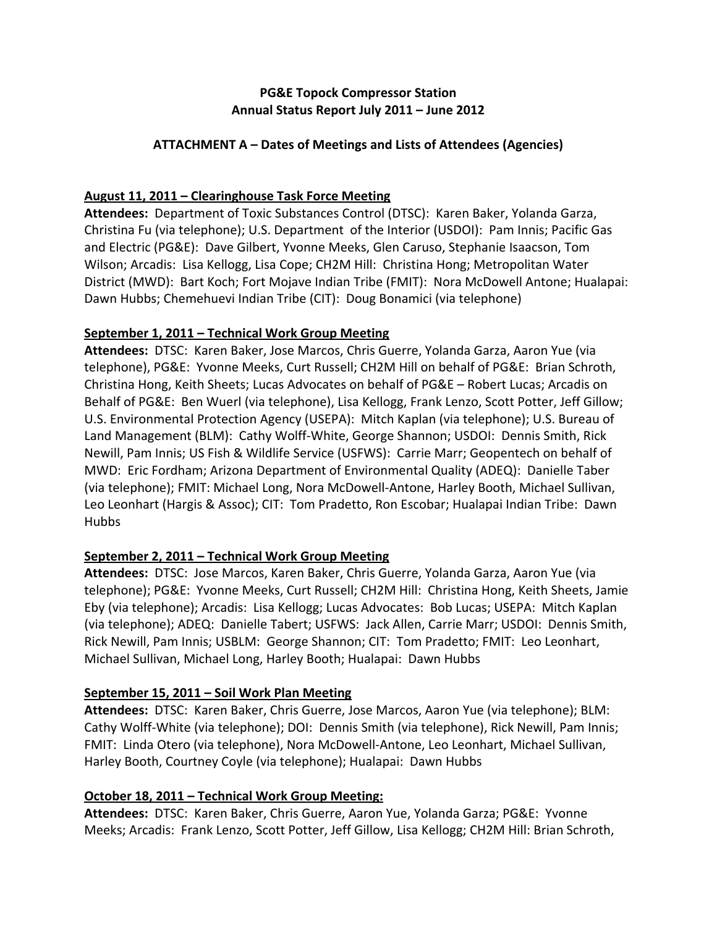## **PG&E Topock Compressor Station Annual Status Report July 2011 – June 2012**

# **ATTACHMENT A – Dates of Meetings and Lists of Attendees (Agencies)**

# **August 11, 2011 – Clearinghouse Task Force Meeting**

Attendees: Department of Toxic Substances Control (DTSC): Karen Baker, Yolanda Garza, Christina Fu (via telephone); U.S. Department of the Interior (USDOI): Pam Innis; Pacific Gas and Electric (PG&E): Dave Gilbert, Yvonne Meeks, Glen Caruso, Stephanie Isaacson, Tom Wilson; Arcadis: Lisa Kellogg, Lisa Cope; CH2M Hill: Christina Hong; Metropolitan Water District (MWD): Bart Koch; Fort Mojave Indian Tribe (FMIT): Nora McDowell Antone; Hualapai: Dawn Hubbs; Chemehuevi Indian Tribe (CIT): Doug Bonamici (via telephone)

# **September 1, 2011 – Technical Work Group Meeting**

**Attendees:** DTSC: Karen Baker, Jose Marcos, Chris Guerre, Yolanda Garza, Aaron Yue (via telephone), PG&E: Yvonne Meeks, Curt Russell; CH2M Hill on behalf of PG&E: Brian Schroth, Christina Hong, Keith Sheets; Lucas Advocates on behalf of PG&E – Robert Lucas; Arcadis on Behalf of PG&E: Ben Wuerl (via telephone), Lisa Kellogg, Frank Lenzo, Scott Potter, Jeff Gillow; U.S. Environmental Protection Agency (USEPA): Mitch Kaplan (via telephone); U.S. Bureau of Land Management (BLM): Cathy Wolff‐White, George Shannon; USDOI: Dennis Smith, Rick Newill, Pam Innis; US Fish & Wildlife Service (USFWS): Carrie Marr; Geopentech on behalf of MWD: Eric Fordham; Arizona Department of Environmental Quality (ADEQ): Danielle Taber (via telephone); FMIT: Michael Long, Nora McDowell‐Antone, Harley Booth, Michael Sullivan, Leo Leonhart (Hargis & Assoc); CIT: Tom Pradetto, Ron Escobar; Hualapai Indian Tribe: Dawn Hubbs

# **September 2, 2011 – Technical Work Group Meeting**

Attendees: DTSC: Jose Marcos, Karen Baker, Chris Guerre, Yolanda Garza, Aaron Yue (via telephone); PG&E: Yvonne Meeks, Curt Russell; CH2M Hill: Christina Hong, Keith Sheets, Jamie Eby (via telephone); Arcadis: Lisa Kellogg; Lucas Advocates: Bob Lucas; USEPA: Mitch Kaplan (via telephone); ADEQ: Danielle Tabert; USFWS: Jack Allen, Carrie Marr; USDOI: Dennis Smith, Rick Newill, Pam Innis; USBLM: George Shannon; CIT: Tom Pradetto; FMIT: Leo Leonhart, Michael Sullivan, Michael Long, Harley Booth; Hualapai: Dawn Hubbs

# **September 15, 2011 – Soil Work Plan Meeting**

**Attendees:** DTSC: Karen Baker, Chris Guerre, Jose Marcos, Aaron Yue (via telephone); BLM: Cathy Wolff‐White (via telephone); DOI: Dennis Smith (via telephone), Rick Newill, Pam Innis; FMIT: Linda Otero (via telephone), Nora McDowell‐Antone, Leo Leonhart, Michael Sullivan, Harley Booth, Courtney Coyle (via telephone); Hualapai: Dawn Hubbs

# **October 18, 2011 – Technical Work Group Meeting:**

**Attendees:** DTSC: Karen Baker, Chris Guerre, Aaron Yue, Yolanda Garza; PG&E: Yvonne Meeks; Arcadis: Frank Lenzo, Scott Potter, Jeff Gillow, Lisa Kellogg; CH2M Hill: Brian Schroth,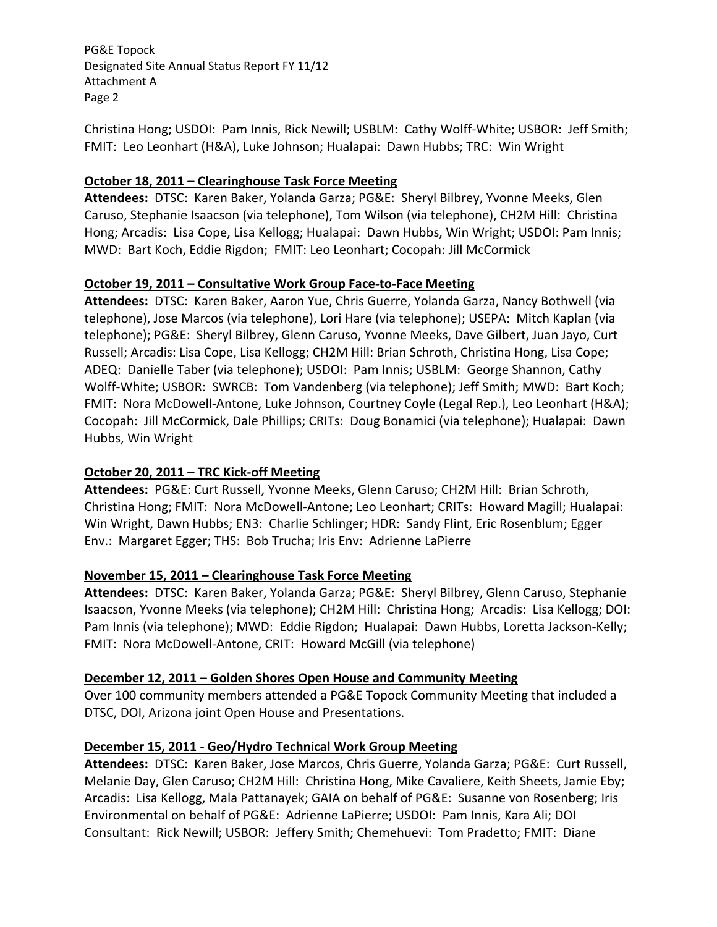Christina Hong; USDOI: Pam Innis, Rick Newill; USBLM: Cathy Wolff‐White; USBOR: Jeff Smith; FMIT: Leo Leonhart (H&A), Luke Johnson; Hualapai: Dawn Hubbs; TRC: Win Wright

### **October 18, 2011 – Clearinghouse Task Force Meeting**

Attendees: DTSC: Karen Baker, Yolanda Garza; PG&E: Sheryl Bilbrey, Yvonne Meeks, Glen Caruso, Stephanie Isaacson (via telephone), Tom Wilson (via telephone), CH2M Hill: Christina Hong; Arcadis: Lisa Cope, Lisa Kellogg; Hualapai: Dawn Hubbs, Win Wright; USDOI: Pam Innis; MWD: Bart Koch, Eddie Rigdon; FMIT: Leo Leonhart; Cocopah: Jill McCormick

#### **October 19, 2011 – Consultative Work Group Face‐to‐Face Meeting**

Attendees: DTSC: Karen Baker, Aaron Yue, Chris Guerre, Yolanda Garza, Nancy Bothwell (via telephone), Jose Marcos (via telephone), Lori Hare (via telephone); USEPA: Mitch Kaplan (via telephone); PG&E: Sheryl Bilbrey, Glenn Caruso, Yvonne Meeks, Dave Gilbert, Juan Jayo, Curt Russell; Arcadis: Lisa Cope, Lisa Kellogg; CH2M Hill: Brian Schroth, Christina Hong, Lisa Cope; ADEQ: Danielle Taber (via telephone); USDOI: Pam Innis; USBLM: George Shannon, Cathy Wolff-White; USBOR: SWRCB: Tom Vandenberg (via telephone); Jeff Smith; MWD: Bart Koch; FMIT: Nora McDowell‐Antone, Luke Johnson, Courtney Coyle (Legal Rep.), Leo Leonhart (H&A); Cocopah: Jill McCormick, Dale Phillips; CRITs: Doug Bonamici (via telephone); Hualapai: Dawn Hubbs, Win Wright

## **October 20, 2011 – TRC Kick‐off Meeting**

Attendees: PG&E: Curt Russell, Yvonne Meeks, Glenn Caruso; CH2M Hill: Brian Schroth, Christina Hong; FMIT: Nora McDowell‐Antone; Leo Leonhart; CRITs: Howard Magill; Hualapai: Win Wright, Dawn Hubbs; EN3: Charlie Schlinger; HDR: Sandy Flint, Eric Rosenblum; Egger Env.: Margaret Egger; THS: Bob Trucha; Iris Env: Adrienne LaPierre

#### **November 15, 2011 – Clearinghouse Task Force Meeting**

**Attendees:** DTSC: Karen Baker, Yolanda Garza; PG&E: Sheryl Bilbrey, Glenn Caruso, Stephanie Isaacson, Yvonne Meeks (via telephone); CH2M Hill: Christina Hong; Arcadis: Lisa Kellogg; DOI: Pam Innis (via telephone); MWD: Eddie Rigdon; Hualapai: Dawn Hubbs, Loretta Jackson-Kelly; FMIT: Nora McDowell‐Antone, CRIT: Howard McGill (via telephone)

#### **December 12, 2011 – Golden Shores Open House and Community Meeting**

Over 100 community members attended a PG&E Topock Community Meeting that included a DTSC, DOI, Arizona joint Open House and Presentations.

#### **December 15, 2011 ‐ Geo/Hydro Technical Work Group Meeting**

**Attendees:** DTSC: Karen Baker, Jose Marcos, Chris Guerre, Yolanda Garza; PG&E: Curt Russell, Melanie Day, Glen Caruso; CH2M Hill: Christina Hong, Mike Cavaliere, Keith Sheets, Jamie Eby; Arcadis: Lisa Kellogg, Mala Pattanayek; GAIA on behalf of PG&E: Susanne von Rosenberg; Iris Environmental on behalf of PG&E: Adrienne LaPierre; USDOI: Pam Innis, Kara Ali; DOI Consultant: Rick Newill; USBOR: Jeffery Smith; Chemehuevi: Tom Pradetto; FMIT: Diane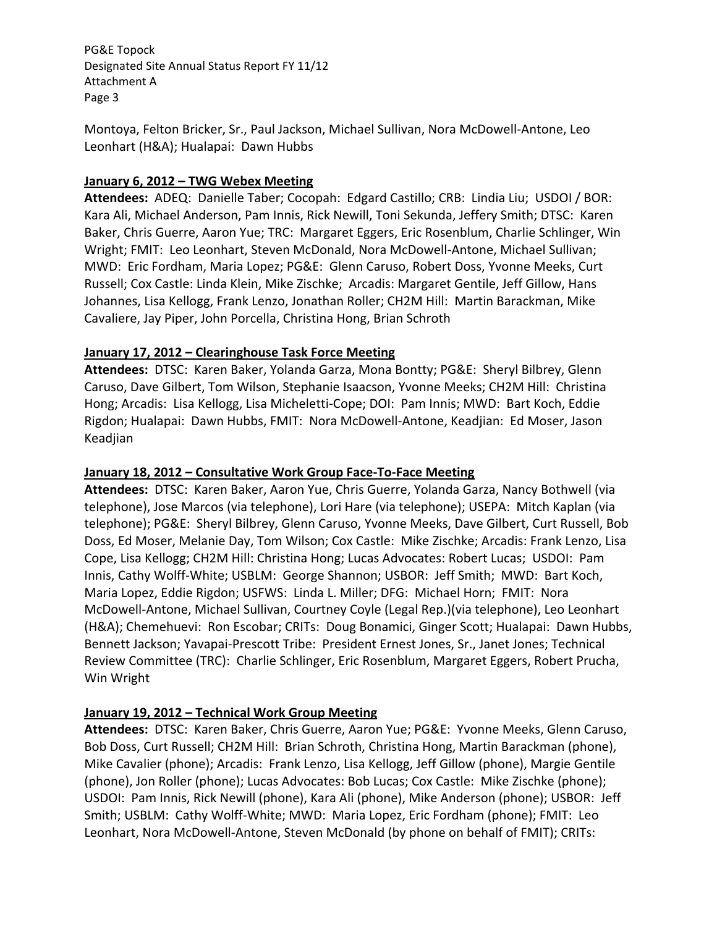Montoya, Felton Bricker, Sr., Paul Jackson, Michael Sullivan, Nora McDowell‐Antone, Leo Leonhart (H&A); Hualapai: Dawn Hubbs

### **January 6, 2012 – TWG Webex Meeting**

**Attendees:** ADEQ: Danielle Taber; Cocopah: Edgard Castillo; CRB: Lindia Liu; USDOI / BOR: Kara Ali, Michael Anderson, Pam Innis, Rick Newill, Toni Sekunda, Jeffery Smith; DTSC: Karen Baker, Chris Guerre, Aaron Yue; TRC: Margaret Eggers, Eric Rosenblum, Charlie Schlinger, Win Wright; FMIT: Leo Leonhart, Steven McDonald, Nora McDowell‐Antone, Michael Sullivan; MWD: Eric Fordham, Maria Lopez; PG&E: Glenn Caruso, Robert Doss, Yvonne Meeks, Curt Russell; Cox Castle: Linda Klein, Mike Zischke; Arcadis: Margaret Gentile, Jeff Gillow, Hans Johannes, Lisa Kellogg, Frank Lenzo, Jonathan Roller; CH2M Hill: Martin Barackman, Mike Cavaliere, Jay Piper, John Porcella, Christina Hong, Brian Schroth

#### **January 17, 2012 – Clearinghouse Task Force Meeting**

Attendees: DTSC: Karen Baker, Yolanda Garza, Mona Bontty; PG&E: Sheryl Bilbrey, Glenn Caruso, Dave Gilbert, Tom Wilson, Stephanie Isaacson, Yvonne Meeks; CH2M Hill: Christina Hong; Arcadis: Lisa Kellogg, Lisa Micheletti‐Cope; DOI: Pam Innis; MWD: Bart Koch, Eddie Rigdon; Hualapai: Dawn Hubbs, FMIT: Nora McDowell‐Antone, Keadjian: Ed Moser, Jason Keadjian

#### **January 18, 2012 – Consultative Work Group Face‐To‐Face Meeting**

**Attendees:** DTSC: Karen Baker, Aaron Yue, Chris Guerre, Yolanda Garza, Nancy Bothwell (via telephone), Jose Marcos (via telephone), Lori Hare (via telephone); USEPA: Mitch Kaplan (via telephone); PG&E: Sheryl Bilbrey, Glenn Caruso, Yvonne Meeks, Dave Gilbert, Curt Russell, Bob Doss, Ed Moser, Melanie Day, Tom Wilson; Cox Castle: Mike Zischke; Arcadis: Frank Lenzo, Lisa Cope, Lisa Kellogg; CH2M Hill: Christina Hong; Lucas Advocates: Robert Lucas; USDOI: Pam Innis, Cathy Wolff‐White; USBLM: George Shannon; USBOR: Jeff Smith; MWD: Bart Koch, Maria Lopez, Eddie Rigdon; USFWS: Linda L. Miller; DFG: Michael Horn; FMIT: Nora McDowell‐Antone, Michael Sullivan, Courtney Coyle (Legal Rep.)(via telephone), Leo Leonhart (H&A); Chemehuevi: Ron Escobar; CRITs: Doug Bonamici, Ginger Scott; Hualapai: Dawn Hubbs, Bennett Jackson; Yavapai‐Prescott Tribe: President Ernest Jones, Sr., Janet Jones; Technical Review Committee (TRC): Charlie Schlinger, Eric Rosenblum, Margaret Eggers, Robert Prucha, Win Wright

## **January 19, 2012 – Technical Work Group Meeting**

Attendees: DTSC: Karen Baker, Chris Guerre, Aaron Yue; PG&E: Yvonne Meeks, Glenn Caruso, Bob Doss, Curt Russell; CH2M Hill: Brian Schroth, Christina Hong, Martin Barackman (phone), Mike Cavalier (phone); Arcadis: Frank Lenzo, Lisa Kellogg, Jeff Gillow (phone), Margie Gentile (phone), Jon Roller (phone); Lucas Advocates: Bob Lucas; Cox Castle: Mike Zischke (phone); USDOI: Pam Innis, Rick Newill (phone), Kara Ali (phone), Mike Anderson (phone); USBOR: Jeff Smith; USBLM: Cathy Wolff‐White; MWD: Maria Lopez, Eric Fordham (phone); FMIT: Leo Leonhart, Nora McDowell-Antone, Steven McDonald (by phone on behalf of FMIT); CRITs: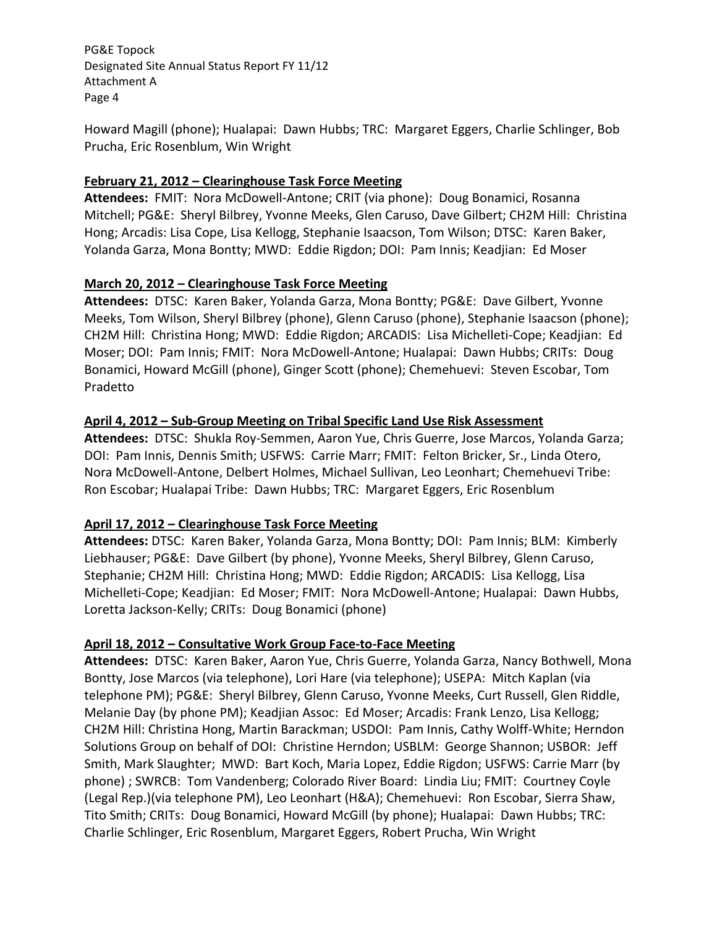Howard Magill (phone); Hualapai: Dawn Hubbs; TRC: Margaret Eggers, Charlie Schlinger, Bob Prucha, Eric Rosenblum, Win Wright

### **February 21, 2012 – Clearinghouse Task Force Meeting**

Attendees: FMIT: Nora McDowell-Antone; CRIT (via phone): Doug Bonamici, Rosanna Mitchell; PG&E: Sheryl Bilbrey, Yvonne Meeks, Glen Caruso, Dave Gilbert; CH2M Hill: Christina Hong; Arcadis: Lisa Cope, Lisa Kellogg, Stephanie Isaacson, Tom Wilson; DTSC: Karen Baker, Yolanda Garza, Mona Bontty; MWD: Eddie Rigdon; DOI: Pam Innis; Keadjian: Ed Moser

## **March 20, 2012 – Clearinghouse Task Force Meeting**

Attendees: DTSC: Karen Baker, Yolanda Garza, Mona Bontty; PG&E: Dave Gilbert, Yvonne Meeks, Tom Wilson, Sheryl Bilbrey (phone), Glenn Caruso (phone), Stephanie Isaacson (phone); CH2M Hill: Christina Hong; MWD: Eddie Rigdon; ARCADIS: Lisa Michelleti‐Cope; Keadjian: Ed Moser; DOI: Pam Innis; FMIT: Nora McDowell‐Antone; Hualapai: Dawn Hubbs; CRITs: Doug Bonamici, Howard McGill (phone), Ginger Scott (phone); Chemehuevi: Steven Escobar, Tom Pradetto

#### **April 4, 2012 – Sub‐Group Meeting on Tribal Specific Land Use Risk Assessment**

Attendees: DTSC: Shukla Roy-Semmen, Aaron Yue, Chris Guerre, Jose Marcos, Yolanda Garza; DOI: Pam Innis, Dennis Smith; USFWS: Carrie Marr; FMIT: Felton Bricker, Sr., Linda Otero, Nora McDowell‐Antone, Delbert Holmes, Michael Sullivan, Leo Leonhart; Chemehuevi Tribe: Ron Escobar; Hualapai Tribe: Dawn Hubbs; TRC: Margaret Eggers, Eric Rosenblum

## **April 17, 2012 – Clearinghouse Task Force Meeting**

**Attendees:** DTSC: Karen Baker, Yolanda Garza, Mona Bontty; DOI: Pam Innis; BLM: Kimberly Liebhauser; PG&E: Dave Gilbert (by phone), Yvonne Meeks, Sheryl Bilbrey, Glenn Caruso, Stephanie; CH2M Hill: Christina Hong; MWD: Eddie Rigdon; ARCADIS: Lisa Kellogg, Lisa Michelleti‐Cope; Keadjian: Ed Moser; FMIT: Nora McDowell‐Antone; Hualapai: Dawn Hubbs, Loretta Jackson‐Kelly; CRITs: Doug Bonamici (phone)

#### **April 18, 2012 – Consultative Work Group Face‐to‐Face Meeting**

Attendees: DTSC: Karen Baker, Aaron Yue, Chris Guerre, Yolanda Garza, Nancy Bothwell, Mona Bontty, Jose Marcos (via telephone), Lori Hare (via telephone); USEPA: Mitch Kaplan (via telephone PM); PG&E: Sheryl Bilbrey, Glenn Caruso, Yvonne Meeks, Curt Russell, Glen Riddle, Melanie Day (by phone PM); Keadjian Assoc: Ed Moser; Arcadis: Frank Lenzo, Lisa Kellogg; CH2M Hill: Christina Hong, Martin Barackman; USDOI: Pam Innis, Cathy Wolff‐White; Herndon Solutions Group on behalf of DOI: Christine Herndon; USBLM: George Shannon; USBOR: Jeff Smith, Mark Slaughter; MWD: Bart Koch, Maria Lopez, Eddie Rigdon; USFWS: Carrie Marr (by phone) ; SWRCB: Tom Vandenberg; Colorado River Board: Lindia Liu; FMIT: Courtney Coyle (Legal Rep.)(via telephone PM), Leo Leonhart (H&A); Chemehuevi: Ron Escobar, Sierra Shaw, Tito Smith; CRITs: Doug Bonamici, Howard McGill (by phone); Hualapai: Dawn Hubbs; TRC: Charlie Schlinger, Eric Rosenblum, Margaret Eggers, Robert Prucha, Win Wright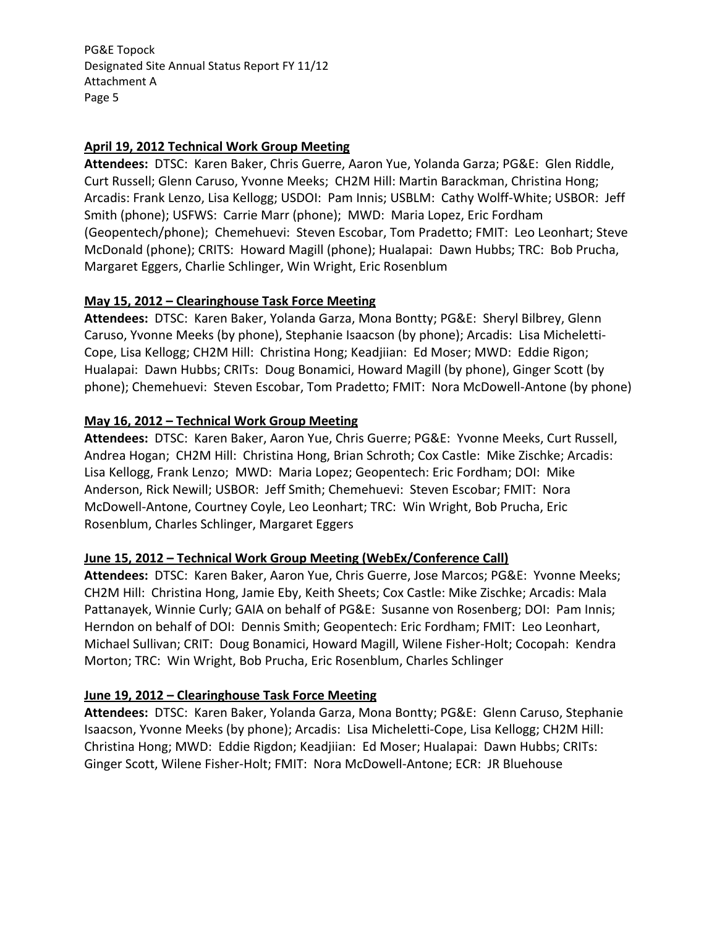#### **April 19, 2012 Technical Work Group Meeting**

Attendees: DTSC: Karen Baker, Chris Guerre, Aaron Yue, Yolanda Garza; PG&E: Glen Riddle, Curt Russell; Glenn Caruso, Yvonne Meeks; CH2M Hill: Martin Barackman, Christina Hong; Arcadis: Frank Lenzo, Lisa Kellogg; USDOI: Pam Innis; USBLM: Cathy Wolff‐White; USBOR: Jeff Smith (phone); USFWS: Carrie Marr (phone); MWD: Maria Lopez, Eric Fordham (Geopentech/phone); Chemehuevi: Steven Escobar, Tom Pradetto; FMIT: Leo Leonhart; Steve McDonald (phone); CRITS: Howard Magill (phone); Hualapai: Dawn Hubbs; TRC: Bob Prucha, Margaret Eggers, Charlie Schlinger, Win Wright, Eric Rosenblum

#### **May 15, 2012 – Clearinghouse Task Force Meeting**

Attendees: DTSC: Karen Baker, Yolanda Garza, Mona Bontty; PG&E: Sheryl Bilbrey, Glenn Caruso, Yvonne Meeks (by phone), Stephanie Isaacson (by phone); Arcadis: Lisa Micheletti‐ Cope, Lisa Kellogg; CH2M Hill: Christina Hong; Keadjiian: Ed Moser; MWD: Eddie Rigon; Hualapai: Dawn Hubbs; CRITs: Doug Bonamici, Howard Magill (by phone), Ginger Scott (by phone); Chemehuevi: Steven Escobar, Tom Pradetto; FMIT: Nora McDowell-Antone (by phone)

#### **May 16, 2012 – Technical Work Group Meeting**

Attendees: DTSC: Karen Baker, Aaron Yue, Chris Guerre; PG&E: Yvonne Meeks, Curt Russell, Andrea Hogan; CH2M Hill: Christina Hong, Brian Schroth; Cox Castle: Mike Zischke; Arcadis: Lisa Kellogg, Frank Lenzo; MWD: Maria Lopez; Geopentech: Eric Fordham; DOI: Mike Anderson, Rick Newill; USBOR: Jeff Smith; Chemehuevi: Steven Escobar; FMIT: Nora McDowell‐Antone, Courtney Coyle, Leo Leonhart; TRC: Win Wright, Bob Prucha, Eric Rosenblum, Charles Schlinger, Margaret Eggers

#### **June 15, 2012 – Technical Work Group Meeting (WebEx/Conference Call)**

Attendees: DTSC: Karen Baker, Aaron Yue, Chris Guerre, Jose Marcos; PG&E: Yvonne Meeks; CH2M Hill: Christina Hong, Jamie Eby, Keith Sheets; Cox Castle: Mike Zischke; Arcadis: Mala Pattanayek, Winnie Curly; GAIA on behalf of PG&E: Susanne von Rosenberg; DOI: Pam Innis; Herndon on behalf of DOI: Dennis Smith; Geopentech: Eric Fordham; FMIT: Leo Leonhart, Michael Sullivan; CRIT: Doug Bonamici, Howard Magill, Wilene Fisher‐Holt; Cocopah: Kendra Morton; TRC: Win Wright, Bob Prucha, Eric Rosenblum, Charles Schlinger

## **June 19, 2012 – Clearinghouse Task Force Meeting**

**Attendees:** DTSC: Karen Baker, Yolanda Garza, Mona Bontty; PG&E: Glenn Caruso, Stephanie Isaacson, Yvonne Meeks (by phone); Arcadis: Lisa Micheletti‐Cope, Lisa Kellogg; CH2M Hill: Christina Hong; MWD: Eddie Rigdon; Keadjiian: Ed Moser; Hualapai: Dawn Hubbs; CRITs: Ginger Scott, Wilene Fisher‐Holt; FMIT: Nora McDowell‐Antone; ECR: JR Bluehouse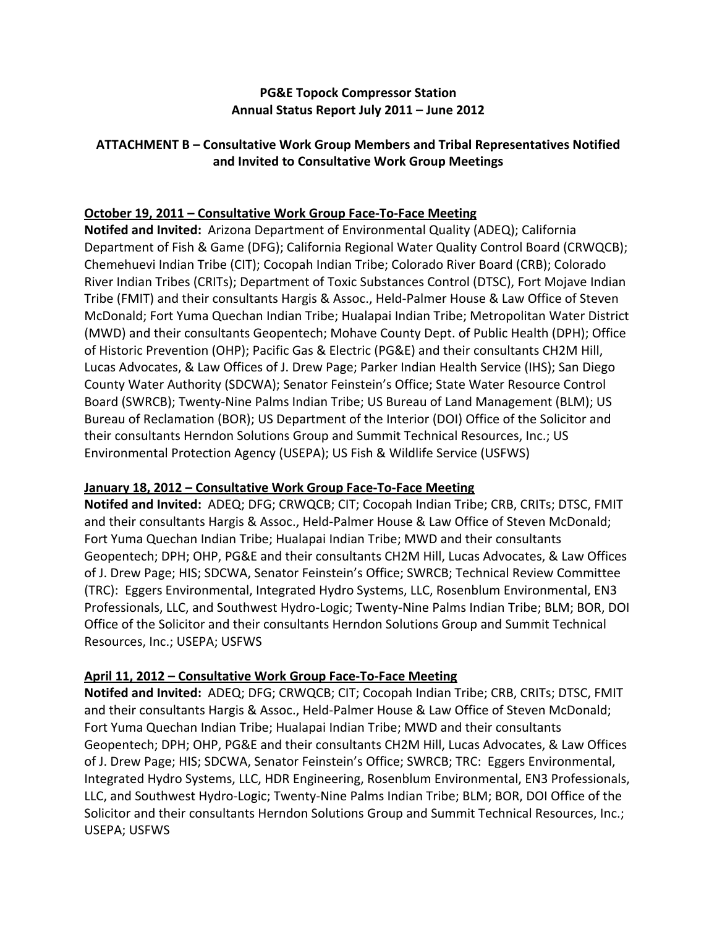## **PG&E Topock Compressor Station Annual Status Report July 2011 – June 2012**

## **ATTACHMENT B – Consultative Work Group Members and Tribal Representatives Notified and Invited to Consultative Work Group Meetings**

## **October 19, 2011 – Consultative Work Group Face‐To‐Face Meeting**

**Notifed and Invited:** Arizona Department of Environmental Quality (ADEQ); California Department of Fish & Game (DFG); California Regional Water Quality Control Board (CRWQCB); Chemehuevi Indian Tribe (CIT); Cocopah Indian Tribe; Colorado River Board (CRB); Colorado River Indian Tribes (CRITs); Department of Toxic Substances Control (DTSC), Fort Mojave Indian Tribe (FMIT) and their consultants Hargis & Assoc., Held‐Palmer House & Law Office of Steven McDonald; Fort Yuma Quechan Indian Tribe; Hualapai Indian Tribe; Metropolitan Water District (MWD) and their consultants Geopentech; Mohave County Dept. of Public Health (DPH); Office of Historic Prevention (OHP); Pacific Gas & Electric (PG&E) and their consultants CH2M Hill, Lucas Advocates, & Law Offices of J. Drew Page; Parker Indian Health Service (IHS); San Diego County Water Authority (SDCWA); Senator Feinstein's Office; State Water Resource Control Board (SWRCB); Twenty‐Nine Palms Indian Tribe; US Bureau of Land Management (BLM); US Bureau of Reclamation (BOR); US Department of the Interior (DOI) Office of the Solicitor and their consultants Herndon Solutions Group and Summit Technical Resources, Inc.; US Environmental Protection Agency (USEPA); US Fish & Wildlife Service (USFWS)

## **January 18, 2012 – Consultative Work Group Face‐To‐Face Meeting**

**Notifed and Invited:** ADEQ; DFG; CRWQCB; CIT; Cocopah Indian Tribe; CRB, CRITs; DTSC, FMIT and their consultants Hargis & Assoc., Held‐Palmer House & Law Office of Steven McDonald; Fort Yuma Quechan Indian Tribe; Hualapai Indian Tribe; MWD and their consultants Geopentech; DPH; OHP, PG&E and their consultants CH2M Hill, Lucas Advocates, & Law Offices of J. Drew Page; HIS; SDCWA, Senator Feinstein's Office; SWRCB; Technical Review Committee (TRC): Eggers Environmental, Integrated Hydro Systems, LLC, Rosenblum Environmental, EN3 Professionals, LLC, and Southwest Hydro‐Logic; Twenty‐Nine Palms Indian Tribe; BLM; BOR, DOI Office of the Solicitor and their consultants Herndon Solutions Group and Summit Technical Resources, Inc.; USEPA; USFWS

## **April 11, 2012 – Consultative Work Group Face‐To‐Face Meeting**

**Notifed and Invited:** ADEQ; DFG; CRWQCB; CIT; Cocopah Indian Tribe; CRB, CRITs; DTSC, FMIT and their consultants Hargis & Assoc., Held‐Palmer House & Law Office of Steven McDonald; Fort Yuma Quechan Indian Tribe; Hualapai Indian Tribe; MWD and their consultants Geopentech; DPH; OHP, PG&E and their consultants CH2M Hill, Lucas Advocates, & Law Offices of J. Drew Page; HIS; SDCWA, Senator Feinstein's Office; SWRCB; TRC: Eggers Environmental, Integrated Hydro Systems, LLC, HDR Engineering, Rosenblum Environmental, EN3 Professionals, LLC, and Southwest Hydro‐Logic; Twenty‐Nine Palms Indian Tribe; BLM; BOR, DOI Office of the Solicitor and their consultants Herndon Solutions Group and Summit Technical Resources, Inc.; USEPA; USFWS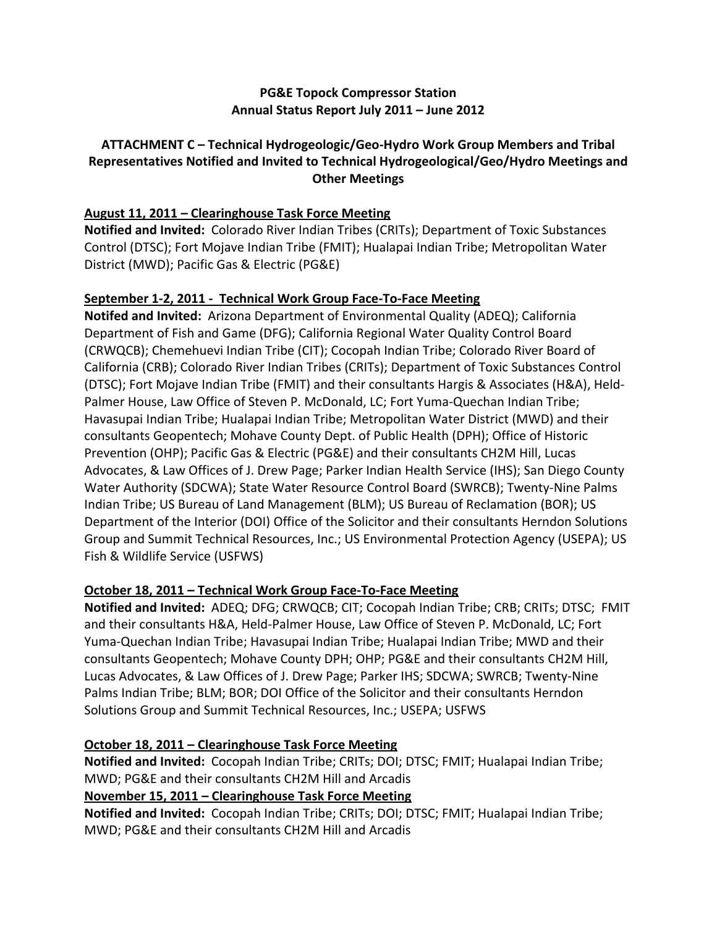# **PG&E Topock Compressor Station Annual Status Report July 2011 – June 2012**

# **ATTACHMENT C – Technical Hydrogeologic/Geo‐Hydro Work Group Members and Tribal Representatives Notified and Invited to Technical Hydrogeological/Geo/Hydro Meetings and Other Meetings**

# **August 11, 2011 – Clearinghouse Task Force Meeting**

**Notified and Invited:** Colorado River Indian Tribes (CRITs); Department of Toxic Substances Control (DTSC); Fort Mojave Indian Tribe (FMIT); Hualapai Indian Tribe; Metropolitan Water District (MWD); Pacific Gas & Electric (PG&E)

## **September 1‐2, 2011 ‐ Technical Work Group Face‐To‐Face Meeting**

**Notifed and Invited:** Arizona Department of Environmental Quality (ADEQ); California Department of Fish and Game (DFG); California Regional Water Quality Control Board (CRWQCB); Chemehuevi Indian Tribe (CIT); Cocopah Indian Tribe; Colorado River Board of California (CRB); Colorado River Indian Tribes (CRITs); Department of Toxic Substances Control (DTSC); Fort Mojave Indian Tribe (FMIT) and their consultants Hargis & Associates (H&A), Held‐ Palmer House, Law Office of Steven P. McDonald, LC; Fort Yuma‐Quechan Indian Tribe; Havasupai Indian Tribe; Hualapai Indian Tribe; Metropolitan Water District (MWD) and their consultants Geopentech; Mohave County Dept. of Public Health (DPH); Office of Historic Prevention (OHP); Pacific Gas & Electric (PG&E) and their consultants CH2M Hill, Lucas Advocates, & Law Offices of J. Drew Page; Parker Indian Health Service (IHS); San Diego County Water Authority (SDCWA); State Water Resource Control Board (SWRCB); Twenty‐Nine Palms Indian Tribe; US Bureau of Land Management (BLM); US Bureau of Reclamation (BOR); US Department of the Interior (DOI) Office of the Solicitor and their consultants Herndon Solutions Group and Summit Technical Resources, Inc.; US Environmental Protection Agency (USEPA); US Fish & Wildlife Service (USFWS)

## **October 18, 2011 – Technical Work Group Face‐To‐Face Meeting**

**Notified and Invited:** ADEQ; DFG; CRWQCB; CIT; Cocopah Indian Tribe; CRB; CRITs; DTSC; FMIT and their consultants H&A, Held‐Palmer House, Law Office of Steven P. McDonald, LC; Fort Yuma‐Quechan Indian Tribe; Havasupai Indian Tribe; Hualapai Indian Tribe; MWD and their consultants Geopentech; Mohave County DPH; OHP; PG&E and their consultants CH2M Hill, Lucas Advocates, & Law Offices of J. Drew Page; Parker IHS; SDCWA; SWRCB; Twenty‐Nine Palms Indian Tribe; BLM; BOR; DOI Office of the Solicitor and their consultants Herndon Solutions Group and Summit Technical Resources, Inc.; USEPA; USFWS

## **October 18, 2011 – Clearinghouse Task Force Meeting**

**Notified and Invited:** Cocopah Indian Tribe; CRITs; DOI; DTSC; FMIT; Hualapai Indian Tribe; MWD; PG&E and their consultants CH2M Hill and Arcadis

# **November 15, 2011 – Clearinghouse Task Force Meeting**

**Notified and Invited:** Cocopah Indian Tribe; CRITs; DOI; DTSC; FMIT; Hualapai Indian Tribe; MWD; PG&E and their consultants CH2M Hill and Arcadis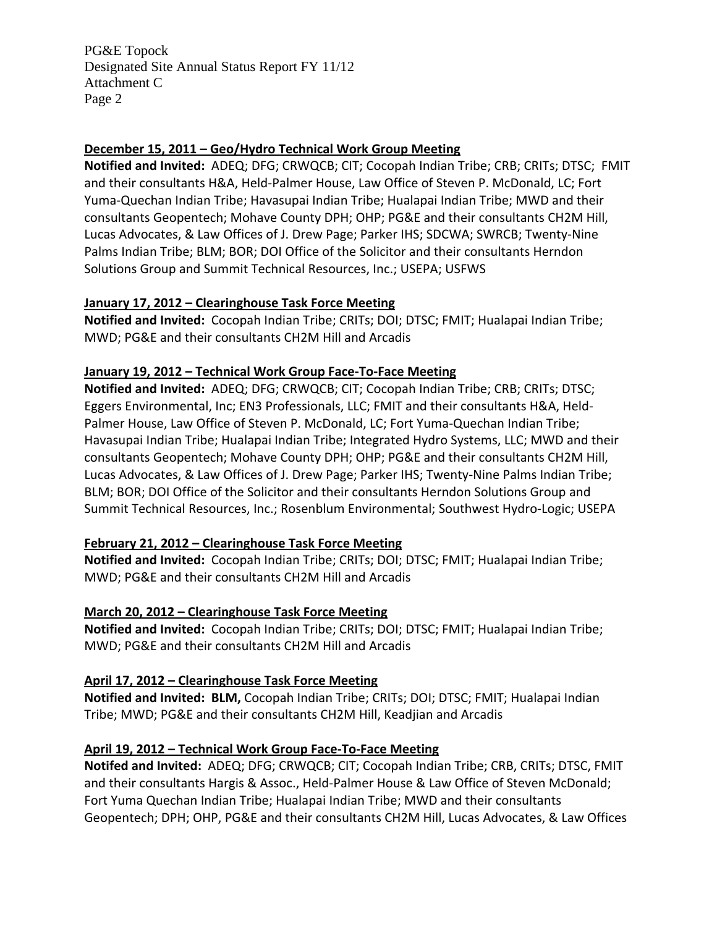# **December 15, 2011 – Geo/Hydro Technical Work Group Meeting**

**Notified and Invited:** ADEQ; DFG; CRWQCB; CIT; Cocopah Indian Tribe; CRB; CRITs; DTSC; FMIT and their consultants H&A, Held‐Palmer House, Law Office of Steven P. McDonald, LC; Fort Yuma‐Quechan Indian Tribe; Havasupai Indian Tribe; Hualapai Indian Tribe; MWD and their consultants Geopentech; Mohave County DPH; OHP; PG&E and their consultants CH2M Hill, Lucas Advocates, & Law Offices of J. Drew Page; Parker IHS; SDCWA; SWRCB; Twenty‐Nine Palms Indian Tribe; BLM; BOR; DOI Office of the Solicitor and their consultants Herndon Solutions Group and Summit Technical Resources, Inc.; USEPA; USFWS

# **January 17, 2012 – Clearinghouse Task Force Meeting**

**Notified and Invited:** Cocopah Indian Tribe; CRITs; DOI; DTSC; FMIT; Hualapai Indian Tribe; MWD; PG&E and their consultants CH2M Hill and Arcadis

# **January 19, 2012 – Technical Work Group Face‐To‐Face Meeting**

**Notified and Invited:** ADEQ; DFG; CRWQCB; CIT; Cocopah Indian Tribe; CRB; CRITs; DTSC; Eggers Environmental, Inc; EN3 Professionals, LLC; FMIT and their consultants H&A, Held‐ Palmer House, Law Office of Steven P. McDonald, LC; Fort Yuma-Quechan Indian Tribe; Havasupai Indian Tribe; Hualapai Indian Tribe; Integrated Hydro Systems, LLC; MWD and their consultants Geopentech; Mohave County DPH; OHP; PG&E and their consultants CH2M Hill, Lucas Advocates, & Law Offices of J. Drew Page; Parker IHS; Twenty‐Nine Palms Indian Tribe; BLM; BOR; DOI Office of the Solicitor and their consultants Herndon Solutions Group and Summit Technical Resources, Inc.; Rosenblum Environmental; Southwest Hydro‐Logic; USEPA

# **February 21, 2012 – Clearinghouse Task Force Meeting**

**Notified and Invited:** Cocopah Indian Tribe; CRITs; DOI; DTSC; FMIT; Hualapai Indian Tribe; MWD; PG&E and their consultants CH2M Hill and Arcadis

## **March 20, 2012 – Clearinghouse Task Force Meeting**

**Notified and Invited:** Cocopah Indian Tribe; CRITs; DOI; DTSC; FMIT; Hualapai Indian Tribe; MWD; PG&E and their consultants CH2M Hill and Arcadis

## **April 17, 2012 – Clearinghouse Task Force Meeting**

**Notified and Invited: BLM,** Cocopah Indian Tribe; CRITs; DOI; DTSC; FMIT; Hualapai Indian Tribe; MWD; PG&E and their consultants CH2M Hill, Keadjian and Arcadis

# **April 19, 2012 – Technical Work Group Face‐To‐Face Meeting**

**Notifed and Invited:** ADEQ; DFG; CRWQCB; CIT; Cocopah Indian Tribe; CRB, CRITs; DTSC, FMIT and their consultants Hargis & Assoc., Held‐Palmer House & Law Office of Steven McDonald; Fort Yuma Quechan Indian Tribe; Hualapai Indian Tribe; MWD and their consultants Geopentech; DPH; OHP, PG&E and their consultants CH2M Hill, Lucas Advocates, & Law Offices